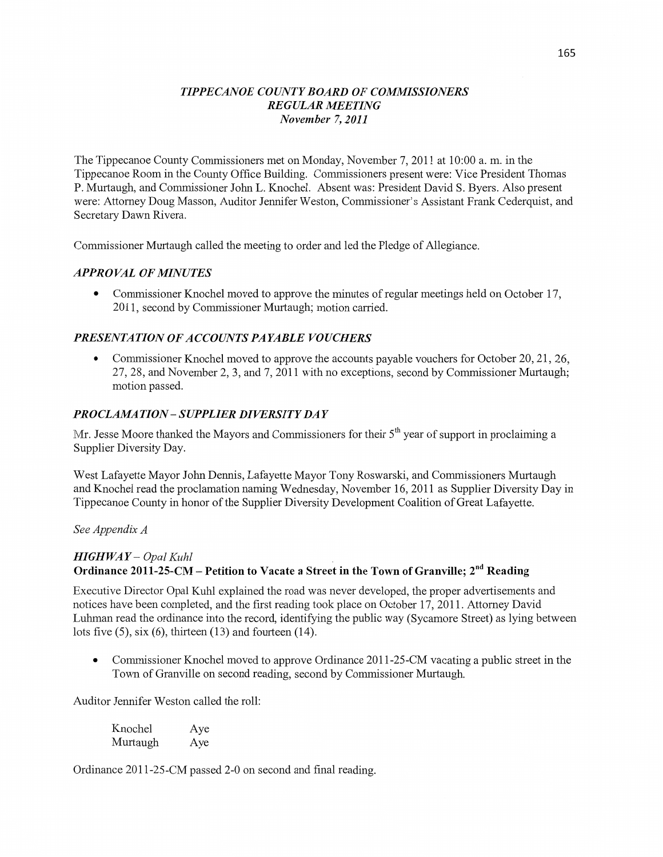#### *T IPPE CANOE COUNTY BOARD* OF *COMMISSIONERS REGULAR MEETING November* 7, *2011*

The Tippecanoe County Commissioners met on Monday, November 7, 2011 at **10:00** a. m. in the Tippecanoe Room in the County Office Building. Commissioners present were: Vice President Thomas P. Murtaugh, and Commissioner John L. **Knochel.** Absent was: President David S. Byers. Also presen<sup>t</sup> were: Attorney Doug Masson, Auditor Jennifer Weston, Commissioner's Assistant Frank Cederquist, and Secretary Dawn Rivera.

Commissioner Murtaugh called the meeting to order and led the Pledge of Allegiance.

#### **APPROVAL OF MINUTES**

**0** Commissioner Knochel **moved** to approve the minutes of regular meetings held on October 17, 2011, second by Commissioner Murtaugh; motion carried.

### **PRESENTATION OF ACCOUNTS PAYABLE VOUCHERS**

**0** Commissioner Knochel moved to approve the accounts payable **vouchers** for October 20, 21, 26, 27, 28, and November 2, 3, and 7, 2011 with no exceptions, second by Commissioner Murtaugh; motion passed.

### *PROCLAMA TION* — *SUPPLIER DIVERSITY* DA *Y*

Mr. Jesse Moore thanked the Mayors and Commissioners for their  $5<sup>th</sup>$  year of support in proclaiming a Supplier Diversity Day.

West Lafayette Mayor John **Dennis,** Lafayette Mayor Tony Roswarski, and Commissioners Murtaugh and Knochel read the proclamation naming Wednesday, November 16, 2011 as Supplier Diversity Day in Tippecanoe County in honor of the Supplier Diversity Development Coalition of Great Lafayette.

See *Appendix A* 

## *HIGH* WAY — *Opal Kuhl \_* Ordinance **2011-25—CM** — **Petition** to **Vacate a Street** in the **Town** of **Granville;** 2nd **Reading**

Executive Director Opal Kuhl explained the road was never developed, the proper advertisements and notices have been completed, and the first reading took place on October 17, 2011. Attorney David **Luhman** read the ordinance into the record, identifying the public way (Sycamore Street) as lying between lots five  $(5)$ , six  $(6)$ , thirteen  $(13)$  and fourteen  $(14)$ .

**0** Commissioner Knochel moved to approve Ordinance 2011-25-CM vacating a **public** street in the Town of Granville on second reading, second by Commissioner Murtaugh.

Auditor Jennifer Weston called the roll:

| Knochel  | Aye |
|----------|-----|
| Murtaugh | Aye |

Ordinance 2011-25-CM passed 2-0 on second and final reading.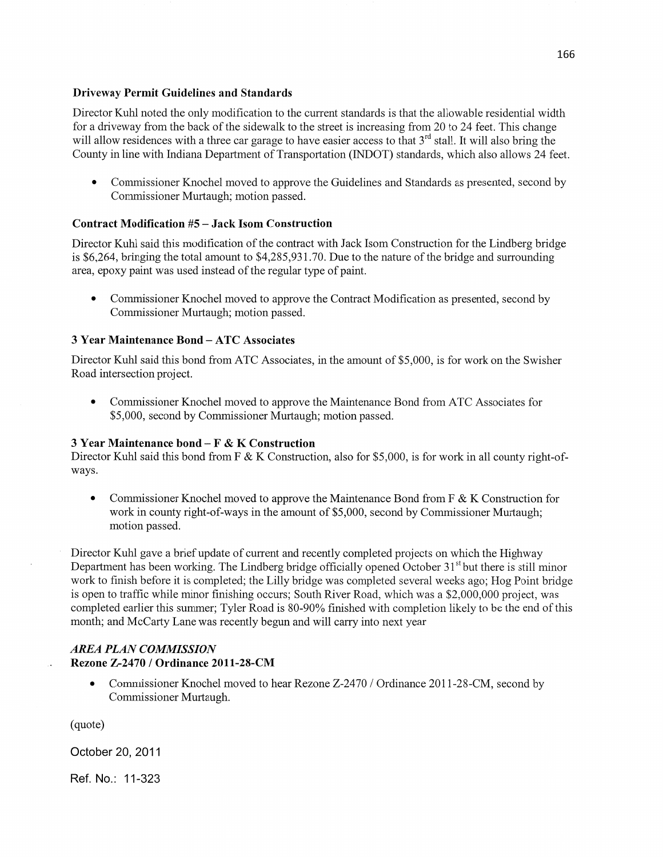#### Driveway Permit Guidelines and **Standards**

Director Kuhl noted the only modification to the current standards is that the allowable residential width for a driveway from the back of the sidewalk to the street is increasing from 20 to 24 feet. This change will allow residences with a three car garage to have easier access to that 3<sup>rd</sup> stall. It will also bring the County in line With Indiana Department of Transportation (INDOT) standards, which also allows 24 feet.

**0** Commissioner Knochel moved to approve the Guidelines and Standards as presented, second by Commissioner Murtaugh; motion passed.

#### **Contract** Modification #5 **— Jack Isom Construction**

Director **Kuhl** said this modification of the contract with Jack Isom Construction for the Lindberg bridge is \$6,264, bringing the total amount to \$4,285,931.70. Due to the nature of the bridge and surrounding area, epoxy paint was used instead of the regular type of paint.

**0** Commissioner Knochel moved to approve the Contract Modification as presented, second by Commissioner Muttaugh; motion passed.

#### **3 Year Maintenance Bond** — ATC **Associates**

Director Kuhl said this bond from ATC Associates, in the amount of \$5,000, is for work on the Swisher Road intersection project.

**0** Commissioner Knochel moved to approve the Maintenance Bond from ATC Associates for \$5,000, second by Commissioner Muttaugh; motion passed.

#### 3 **Year** Maintenance **bond** — **F** & **K** Construction

Director Kuhl said this bond from F & K Construction, also for \$5,000, is for work in all county right-ofways.

**•** Commissioner Knochel moved to approve the Maintenance Bond from F & K Construction for work in county right-of-ways in the amount of \$5,000, second by Commissioner Murtaugh; motion passed.

Director Kuhl gave a brief update of current and recently completed projects on which the Highway Department has been working. The Lindberg bridge officially opened October  $31<sup>st</sup>$  but there is still minor work to **finish** before it is completed; the Lilly bridge was completed several weeks ago; Hog Point bridge is open to traffic While minor finishing occurs; South River Road, which was a \$2,000,000 project, was completed earlier this summer; Tyler Road is 80-90% finished with completion likely to be the end of this month; and McCarty Lane was recently begun and will carry into next year

#### *AREA PLAN COMMISSION*  **Rezone Z—2470** */* **Ordinance 2011-28—CM**

• Commissioner Knochel moved to hear Rezone Z-2470 / Ordinance 2011-28-CM, second by Commissioner Murtaugh.

(quote)

October 20, 2011

Ref. No.: 11-323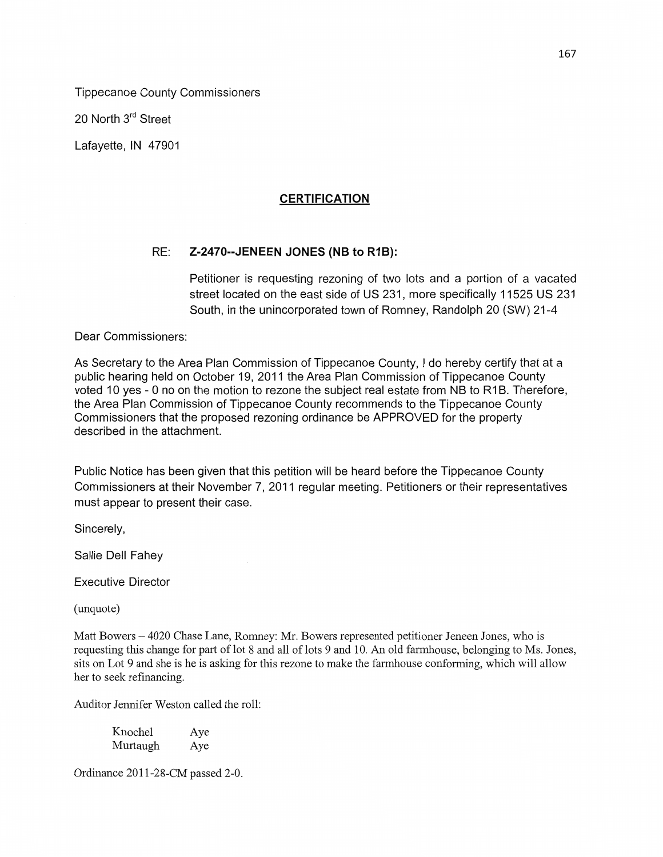Tippecanoe County **Commissioners** 

20 North 3<sup>rd</sup> Street

Lafayette, IN 47901

# **CERTIFICATION**

## RE: Z-2470--JENEEN JONES (NB to R1B):

Petitioner is requesting rezoning of two **lots** and a portion of *a* vacated **street** located on the **east side** of US 231, more specifically 11525 US 231 South, in the unincorporated town of Romney, Randolph 20 (SW) 21-4

Dear **Commissioners:** 

As Secretary to the Area Plan **Commission** of Tippecanoe **County,** *I* do hereby certify that at a public hearing held on October 19, 2011 the Area Plan **Commission** of Tippecanoe **County**  voted 10 yes *-* 0 no on the **motion** to rezone the **subject** real estate from NB to R1 B. Therefore, the Area Plan **Commission** of Tippecanoe County **recommends** to the Tippecanoe County Commissioners that the proposed rezoning ordinance be APPROVED for the property described in the attachment.

Public **Notice** has been given **that** this **petition** will be heard before the Tippecanoe **County Commissioners** at **their** November 7, 2011 regular meeting. Petitioners or their representatives **must** appear to present their case.

Sincerely,

Sallie Dell Fahey

Executive **Director** 

(unquote)

Matt Bowers – 4020 Chase Lane, Romney: Mr. Bowers represented petitioner Jeneen Jones, who is requesting this change for part of lot 8 and all of lots 9 and 10. An old farmhouse, belonging to Ms. Jones, sits on Lot *9* and she is he is asking for this rezone to make the farmhouse conforming, which will allow her to seek refinancing.

**Auditor** Jennifer Weston called the roll:

Knochel Aye Murtaugh Aye

Ordinance 2011—28-CM passed 2-0.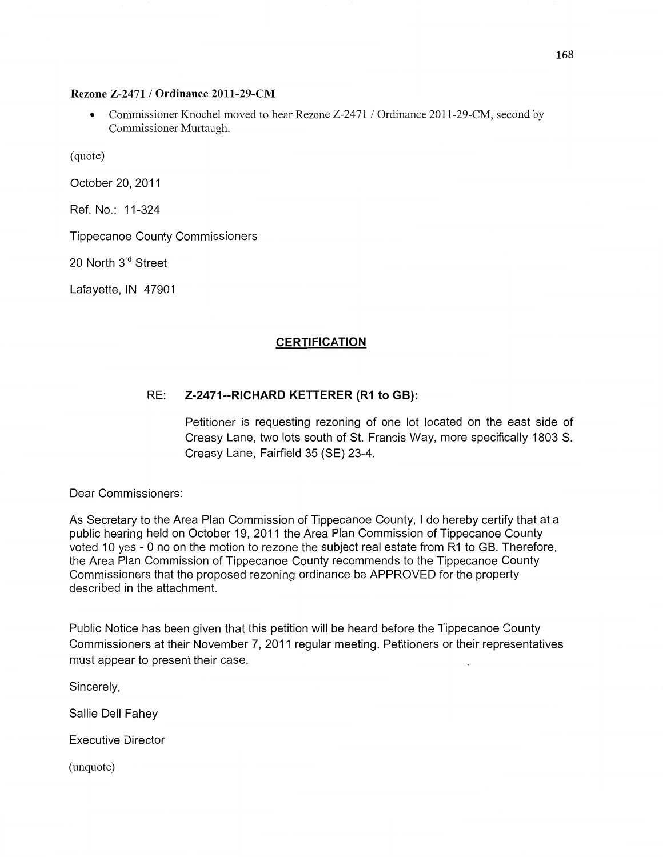#### **Rezone Z-2471** / **Ordinance 2011-29-CM**

• Commissioner Knochel moved to hear Rezone Z-2471 / Ordinance 2011-29-CM, second by Commissioner Murtaugh.

(quote)

October 20, 2011

Ref. No.: 11-324

Tippecanoe County **Commissioners** 

20 North 3rd Street

Lafayette, IN 47901

#### **CERTIFICATION**

#### RE: **Z-2471--RICHARD** KETTERER (R1 to **GB):**

Petitioner is requesting rezoning of one lot located on the east **side** of Creasy Lane, two **lots** south of St. Francis Way, more specifically 1803 S. Creasy Lane, Fairfield 35 (SE) 23-4.

Dear **Commissioners:** 

As Secretary to the Area Plan Commission of Tippecanoe **County,** I do hereby certify **that** at a public hearing held on October 19, 2011 the Area Plan **Commission** of Tippecanoe County voted 10 yes *-* 0 no on the motion to rezone the subject real estate from R1 to GB. **Therefore,**  the Area Plan **Commission** of Tippecanoe **County recommends** to the Tippecanoe County **Commissioners that** the proposed rezoning ordinance be APPROVED for the property described in the attachment.

Public Notice has been given that this petition will be heard before the **Tippecanoe** County **Commissioners** at their November 7, 2011 regular meeting. **Petitioners** or their representatives must appear to present their case.

Sincerely,

Sallie Dell Fahey

Executive Director

(unquote)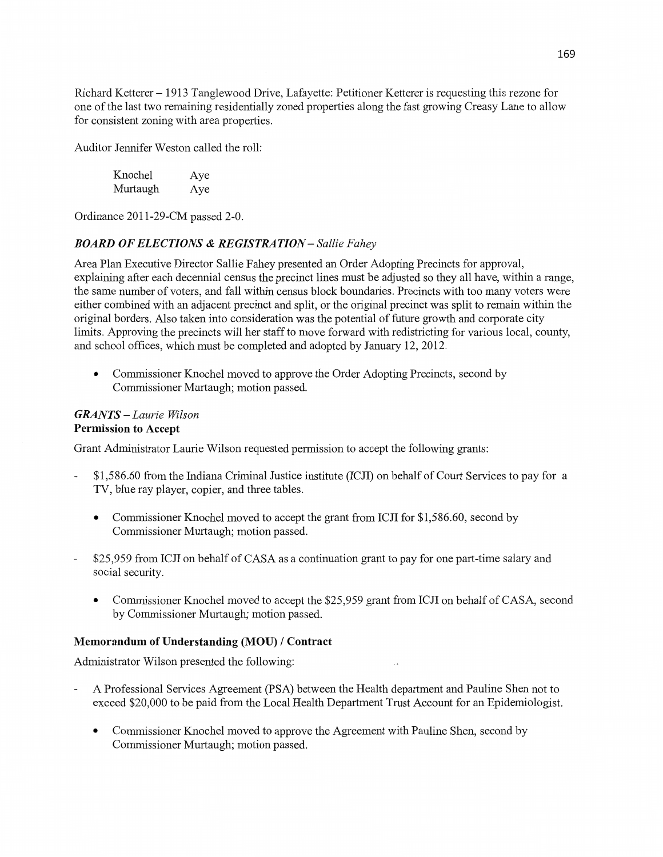**Richard** Ketterer **—** 1913 Tanglewood Drive, Lafayette: Petitioner Ketterer is requesting this rezone for one of the last two remaining residentially zoned properties along the fast growing Creasy Lane to allow for consistent zoning with area properties.

Auditor Jennifer Weston called the roll:

| Knochel  | Aye |
|----------|-----|
| Murtaugh | Aye |

Ordinance 2011-29-CM passed 2-0.

### *BOARD 0FELECTIONS & REGISTRATION— Sallie Fahey*

Area Plan Executive Director Sallie Fahey presented an Order Adopting **Precincts** for approval, explaining afier each decennial **census** the precinct lines must be adjusted so they all have, within a range, the same number of voters, and fall Within census block boundaries. Precincts with too many voters were either combined with an adjacent precinct and split, or the original precinct was split to remain within the original borders. Also taken into consideration was the potential of future growth and corporate city limits. Approving the precincts will her staff to move forward with redistricting for various local, county, and school offices, which must be completed and adopted by January 12, 2012.

**0 Commissioner** Knochel moved to approve the Order Adopting Precincts, second by Commissioner Murtaugh; motion passed.

### *GRANTS* **—** *Laurie Wilson*  **Permission** to **Accept**

Grant Administrator Laurie Wilson requested permission to accept the following grants:

- \$1,586.60 from the Indiana Criminal Justice institute (ICJI) on behalf of Court Services to pay for a TV, blue ray player, copier, and three tables.
	- **0** Commissioner Knochel moved to accept the grant from ICJI for \$1,586.60, second by Commissioner Murtaugh; motion passed.
- \$25,959 from ICJI on behalf of CASA as a continuation grant to pay for one part-time salary and social security.
	- Commissioner Knochel moved to accept the \$25,959 grant from ICJI on behalf of CASA, second by Commissioner Murtaugh; motion passed.

#### **Memorandum** of **Understanding (MOU) / Contract**

Administrator Wilson presented the following:

- **A** Professional Services Agreement (PSA) between the **Health** department and Pauline **Shen** not to exceed \$20,000 to be paid from the Local Health Department Trust Account for an Epidemiologist.
	- **0** Commissioner **Knochel** moved to approve the Agreement with Pauline **Shen,** second by Commissioner Murtaugh; motion passed.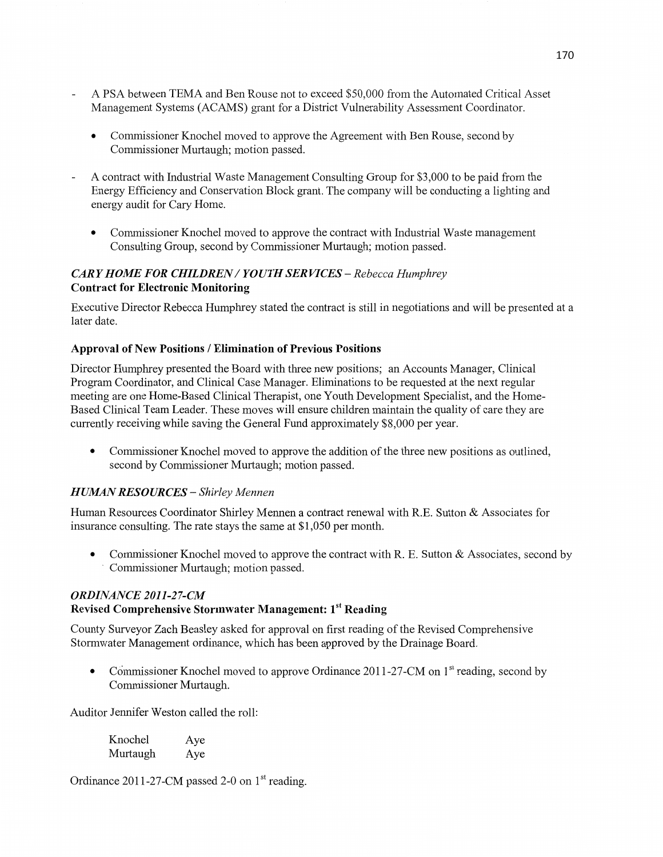- A PSA between TEMA and Ben Rouse not to exceed \$50,000 from the Automated Critical Asset Management Systems (ACAMS) grant for a District Vulnerability Assessment Coordinator.
	- **0** Commissioner Knochel moved to approve the Agreement with Ben Rouse, second by Commissioner Murtaugh; motion passed.
- **A** contract with Industrial Waste Management Consulting Group for \$3,000 to be paid from the Energy Efficiency and Conservation Block grant. The company will be conducting a lighting and energy audit for Cary Home.
	- **0** Commissioner Knochel moved to approve the contract with Industrial Waste management Consulting Group, second by Commissioner Murtaugh; motion passed.

#### *CARY HOME* FOR *CHILDREN* / *YOUTH* SER *VICES — Rebecca Humphrey*  **Contract** for **Electronic** Monitoring

Executive Director Rebecca Humphrey stated the contract is still in negotiations and will be presented at a **later** date.

### **Approval** of New **Positions** / **Elimination** of **Previous Positions**

Director Humphrey presented the Board with three new positions; an Accounts Manager, Clinical Program Coordinator, and Clinical Case Manager. Eliminations to be requested at the next regular meeting are one Home-Based Clinical Therapist, one Youth Development Specialist, and the Home-Based Clinical Team Leader. These moves will ensure children maintain the quality of care they are currently receiving while saving the General Fund approximately \$8,000 per year.

**0** Commissioner Knochel moved to approve the addition of the three new positions as outlined, second by Commissioner Murtaugh; **motion** passed.

#### *HUMAN RESOURCES* **—** *Shirley Mennen*

Human Resources Coordinator Shirley **Mennen** a contract renewal with R.E. Sutton & Associates for insurance **consulting.** The rate stays the same at \$1,050 per **month.** 

• Commissioner Knochel moved to approve the contract with R. E. Sutton & Associates, second by *'* Commissioner Murtaugh; motion passed.

#### *ORDINANCE 2011-2 7-CM*  **Revised Comprehensive Stormwater Management: 1<sup>st</sup> Reading**

County Surveyor Zach Beasley asked for approval on first reading of the Revised Comprehensive Stormwater Management ordinance, which has been approved by the Drainage Board.

• Commissioner Knochel moved to approve Ordinance 2011-27-CM on 1<sup>st</sup> reading, second by Commissioner Murtaugh.

Auditor Jennifer Weston called the roll:

| Knochel  | Aye |
|----------|-----|
| Murtaugh | Aye |

Ordinance 2011-27-CM passed 2-0 on  $1<sup>st</sup>$  reading.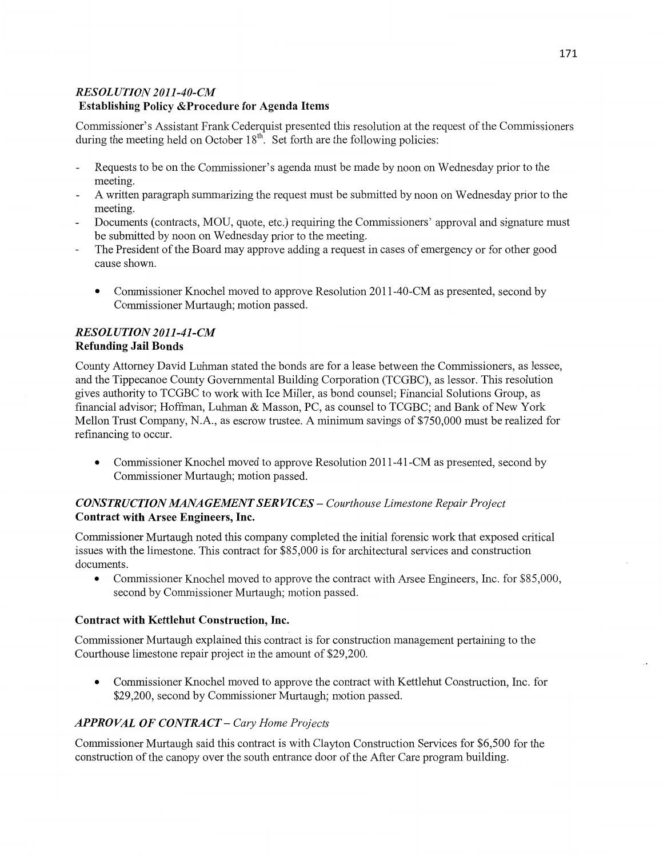# *RESOLUTION 2011—40-CM*  **Establishing** Policy **&Procedure** for **Agenda Items**

Commissioner's Assistant Frank Cederquist presented this resolution at the request of the Commissioners during the meeting held on October  $18<sup>th</sup>$ . Set forth are the following policies:

- Requests to be on the Commissioner's agenda must be made by noon on Wednesday prior to the meeting.
- **A** written paragraph summarizing the request must be submitted by noon on Wednesday prior to the meeting.
- Documents (contracts, MOU, quote, etc.) requiring the Commissioners' approval and signature must be submitted by noon on Wednesday prior to the meeting.
- The President of the Board may approve adding a request in cases of emergency or for other good cause shown.
	- **0** Commissioner Knochel **moved** to approve Resolution 2011-40-CM as presented, second by **Commissioner** Murtaugh; motion passed.

### *RESOL UTION 2011-41-CM*  **Refunding Jail Bonds**

County Attorney David **Luhman** stated the bonds are for a lease between the Commissioners, as lessee, and the Tippecanoe County Governmental Building Corporation (TCGBC), as lessor. This resolution gives authority to TCGBC to work with Ice Miller, as bond counsel; Financial Solutions Group, as financial adviser; Hoffinan, Luhman & Masson, PC, as counsel to TCGBC; and Bank of New York Mellon Trust Company, N.A., as escrow trustee. A minimum savings of \$750,000 must be realized for refinancing to occur.

• Commissioner Knochel moved to approve Resolution 2011-41-CM as presented, second by Commissioner Murtaugh; **motion** passed.

## *C ONST R* UC *T I* 0N *MANA GEMEN T* SER *VICES — Courthouse Limestone Repair Project*  **Contract** with **Arsee** Engineers, **Inc.**

Commissioner Murtaugh noted this company completed the initial forensic work that exposed critical issues with the limestone. This contract for \$85,000 is for architectural services and construction documents.

• Commissioner Knochel moved to approve the contract with Arsee Engineers, Inc. for \$85,000, second by Commissioner Murtaugh; motion passed.

## **Contract with Kettlehut Construction, Inc.**

Commissioner Multaugh explained this **contract** is for construction management pertaining to the Courthouse limestone repair project in the amount of \$29,200.

**0** Commissioner Knochel moved to approve the contract with Kettlehut Construction, **Inc.** for \$29,200, second by **Commissioner** Murtaugh; motion passed.

## *APPROVAL* OF *CONTRACT* — *Cary Home Projects*

Commissioner Murtaugh said this contract is with Clayton Construction Services for \$6,500 for the construction of the canopy over the south entrance door of the After Care program building.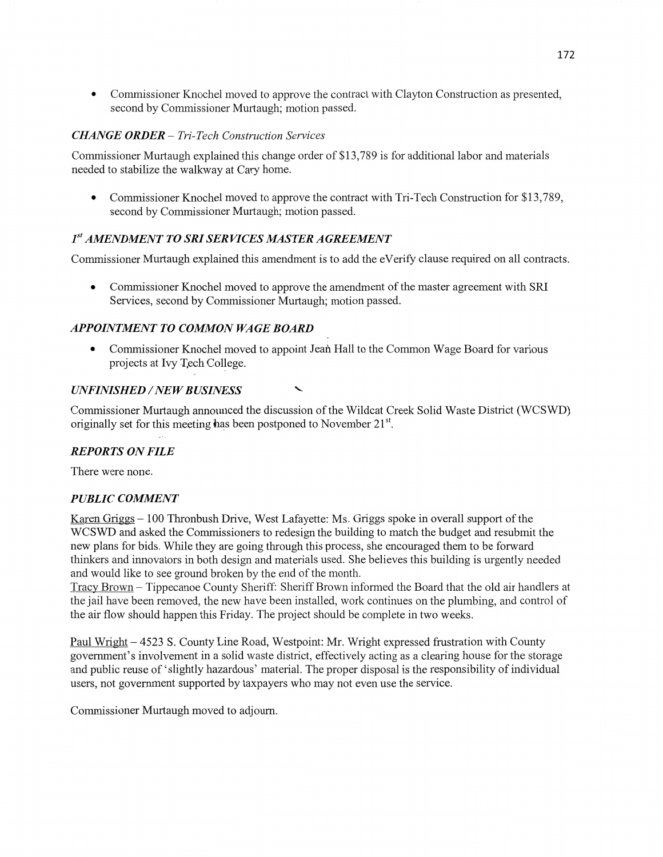**0** Commissioner Knochel moved to approve the contract with Clayton Construction as presented, second by Commissioner Murtaugh; motion passed.

## *CHANGE ORDER* — *T ri-T* ech *Construction Services*

Commissioner Murtaugh explained this change order of \$13,789 is for additional labor and materials needed to stabilize the walkway at Cary home.

**0** Commissioner Knochel moved to approve the contract with Tri-Tech Construction for \$13,789, second by Commissioner Murtaugh; motion passed.

## $1<sup>st</sup> AMENDMENT TO SRI SERYICES MASTER AGREEMENT$

Commissioner Murtaugh explained this amendment is to add the eVerify clause required on all contracts.

**0** Commissioner Knochel moved to approve the amendment of the master agreement with SRI Services, second by Commissioner Murtaugh; motion passed.

## **APPOINTMENT TO COMMON WAGE BOARD**

• Commissioner Knochel moved to appoint Jean Hall to the Common Wage Board for various projects at Ivy **T,ech** College.

### $UNFINISHED / NEW BUSINESS$

Commissioner Murtaugh announced the **discussion** of the Wildcat Creek Solid Waste District (WCSWD) originally set for this meeting has been postponed to November 21<sup>st</sup>.

## *REPORTS* ON *FILE*

There were none.

## *PUBLIC COMMENT*

Karen Griggs - 100 Thronbush Drive, West Lafayette: Ms. Griggs spoke in overall support of the **WCSWD** and asked the Commissioners to redesign the building to match the budget and resubmit the new plans for bids. While they are going through this process, she encouraged them to be forward thinkers and innovators in both design and materials used. She believes this building is urgently needed and would like to see ground broken by the end of the month.

Tracy Brown —— Tippecanoe County Sheriff: Sheriff Brown informed the Board that the old air handlers at the **jail** have been removed, the new have been installed, work continues on the plumbing, and control of the air flow should happen **this** Friday. The project **should** be complete in two weeks.

Paul Wright **—** 4523 S. County Line Road, Westpoint: Mr. Wright expressed frustration with County governmen<sup>t</sup>'s involvement in a solid waste district, effectively acting as a clearing house for the storage and public reuse of "slightly hazardous' material. The proper disposal is the responsibility of individual users, not government supported by taxpayers who may not even use the service.

Commissioner Murtaugh moved to adjourn.